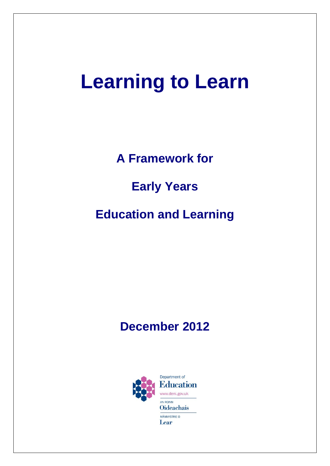# **Learning to Learn**

**A Framework for**

**Early Years**

**Education and Learning**

# **December 2012**

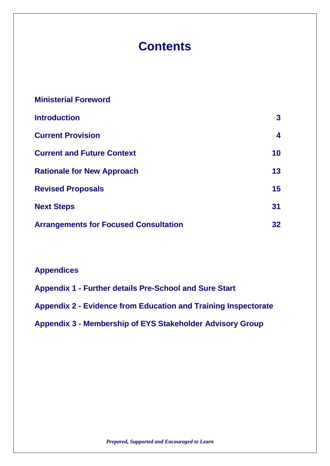# **Contents**

| 3               |
|-----------------|
| 4               |
| 10              |
| 13              |
| 15              |
| 31              |
| 32 <sub>2</sub> |
|                 |

### **Appendices**

**Appendix 1 - Further details Pre-School and Sure Start Appendix 2 - Evidence from Education and Training Inspectorate Appendix 3 - Membership of EYS Stakeholder Advisory Group**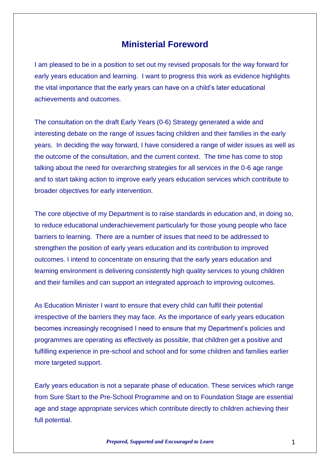### **Ministerial Foreword**

I am pleased to be in a position to set out my revised proposals for the way forward for early years education and learning. I want to progress this work as evidence highlights the vital importance that the early years can have on a child's later educational achievements and outcomes.

The consultation on the draft Early Years (0-6) Strategy generated a wide and interesting debate on the range of issues facing children and their families in the early years. In deciding the way forward, I have considered a range of wider issues as well as the outcome of the consultation, and the current context. The time has come to stop talking about the need for overarching strategies for all services in the 0-6 age range and to start taking action to improve early years education services which contribute to broader objectives for early intervention.

The core objective of my Department is to raise standards in education and, in doing so, to reduce educational underachievement particularly for those young people who face barriers to learning. There are a number of issues that need to be addressed to strengthen the position of early years education and its contribution to improved outcomes. I intend to concentrate on ensuring that the early years education and learning environment is delivering consistently high quality services to young children and their families and can support an integrated approach to improving outcomes.

As Education Minister I want to ensure that every child can fulfil their potential irrespective of the barriers they may face. As the importance of early years education becomes increasingly recognised I need to ensure that my Department's policies and programmes are operating as effectively as possible, that children get a positive and fulfilling experience in pre-school and school and for some children and families earlier more targeted support.

Early years education is not a separate phase of education. These services which range from Sure Start to the Pre-School Programme and on to Foundation Stage are essential age and stage appropriate services which contribute directly to children achieving their full potential.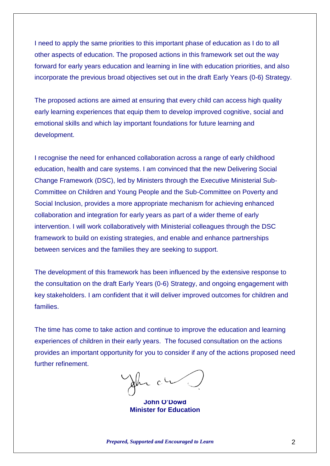I need to apply the same priorities to this important phase of education as I do to all other aspects of education. The proposed actions in this framework set out the way forward for early years education and learning in line with education priorities, and also incorporate the previous broad objectives set out in the draft Early Years (0-6) Strategy.

The proposed actions are aimed at ensuring that every child can access high quality early learning experiences that equip them to develop improved cognitive, social and emotional skills and which lay important foundations for future learning and development.

I recognise the need for enhanced collaboration across a range of early childhood education, health and care systems. I am convinced that the new Delivering Social Change Framework (DSC), led by Ministers through the Executive Ministerial Sub-Committee on Children and Young People and the Sub-Committee on Poverty and Social Inclusion, provides a more appropriate mechanism for achieving enhanced collaboration and integration for early years as part of a wider theme of early intervention. I will work collaboratively with Ministerial colleagues through the DSC framework to build on existing strategies, and enable and enhance partnerships between services and the families they are seeking to support.

The development of this framework has been influenced by the extensive response to the consultation on the draft Early Years (0-6) Strategy, and ongoing engagement with key stakeholders. I am confident that it will deliver improved outcomes for children and families.

The time has come to take action and continue to improve the education and learning experiences of children in their early years. The focused consultation on the actions provides an important opportunity for you to consider if any of the actions proposed need further refinement.

 $c<sup>0</sup>$ 

**John O'Dowd Minister for Education**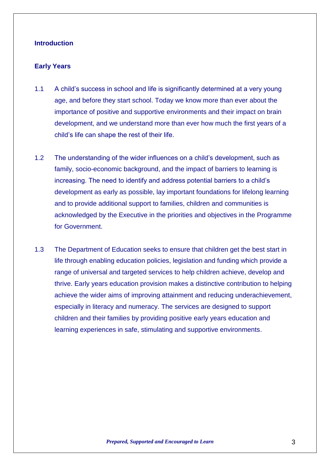#### **Introduction**

#### **Early Years**

- 1.1 A child's success in school and life is significantly determined at a very young age, and before they start school. Today we know more than ever about the importance of positive and supportive environments and their impact on brain development, and we understand more than ever how much the first years of a child's life can shape the rest of their life.
- 1.2 The understanding of the wider influences on a child's development, such as family, socio-economic background, and the impact of barriers to learning is increasing. The need to identify and address potential barriers to a child's development as early as possible, lay important foundations for lifelong learning and to provide additional support to families, children and communities is acknowledged by the Executive in the priorities and objectives in the Programme for Government.
- 1.3 The Department of Education seeks to ensure that children get the best start in life through enabling education policies, legislation and funding which provide a range of universal and targeted services to help children achieve, develop and thrive. Early years education provision makes a distinctive contribution to helping achieve the wider aims of improving attainment and reducing underachievement, especially in literacy and numeracy. The services are designed to support children and their families by providing positive early years education and learning experiences in safe, stimulating and supportive environments.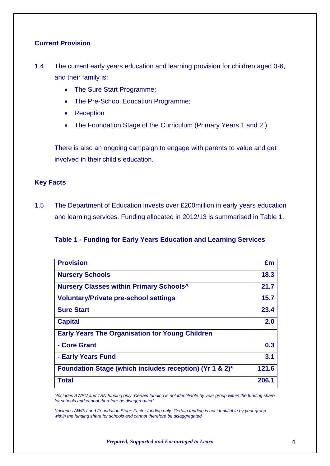#### **Current Provision**

- 1.4 The current early years education and learning provision for children aged 0-6, and their family is:
	- The Sure Start Programme;
	- The Pre-School Education Programme;
	- Reception
	- The Foundation Stage of the Curriculum (Primary Years 1 and 2)

There is also an ongoing campaign to engage with parents to value and get involved in their child's education.

#### **Key Facts**

1.5 The Department of Education invests over £200million in early years education and learning services. Funding allocated in 2012/13 is summarised in Table 1.

#### **Table 1 - Funding for Early Years Education and Learning Services**

| <b>Provision</b>                                        | £m    |
|---------------------------------------------------------|-------|
| <b>Nursery Schools</b>                                  | 18.3  |
| Nursery Classes within Primary Schools <sup>^</sup>     | 21.7  |
| <b>Voluntary/Private pre-school settings</b>            | 15.7  |
| <b>Sure Start</b>                                       | 23.4  |
| <b>Capital</b>                                          | 2.0   |
| <b>Early Years The Organisation for Young Children</b>  |       |
| - Core Grant                                            | 0.3   |
| - Early Years Fund                                      | 3.1   |
| Foundation Stage (which includes reception) (Yr 1 & 2)* | 121.6 |
| Total                                                   | 206.1 |

*^Includes AWPU and TSN funding only. Certain funding is not identifiable by year group within the funding share for schools and cannot therefore be disaggregated.*

*\*Includes AWPU and Foundation Stage Factor funding only. Certain funding is not identifiable by year group within the funding share for schools and cannot therefore be disaggregated.*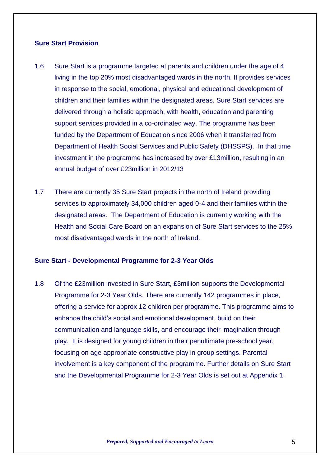#### **Sure Start Provision**

- 1.6 Sure Start is a programme targeted at parents and children under the age of 4 living in the top 20% most disadvantaged wards in the north. It provides services in response to the social, emotional, physical and educational development of children and their families within the designated areas. Sure Start services are delivered through a holistic approach, with health, education and parenting support services provided in a co-ordinated way. The programme has been funded by the Department of Education since 2006 when it transferred from Department of Health Social Services and Public Safety (DHSSPS). In that time investment in the programme has increased by over £13million, resulting in an annual budget of over £23million in 2012/13
- 1.7 There are currently 35 Sure Start projects in the north of Ireland providing services to approximately 34,000 children aged 0-4 and their families within the designated areas. The Department of Education is currently working with the Health and Social Care Board on an expansion of Sure Start services to the 25% most disadvantaged wards in the north of Ireland.

#### **Sure Start - Developmental Programme for 2-3 Year Olds**

1.8 Of the £23million invested in Sure Start, £3million supports the Developmental Programme for 2-3 Year Olds. There are currently 142 programmes in place, offering a service for approx 12 children per programme. This programme aims to enhance the child's social and emotional development, build on their communication and language skills, and encourage their imagination through play. It is designed for young children in their penultimate pre-school year, focusing on age appropriate constructive play in group settings. Parental involvement is a key component of the programme. Further details on Sure Start and the Developmental Programme for 2-3 Year Olds is set out at Appendix 1.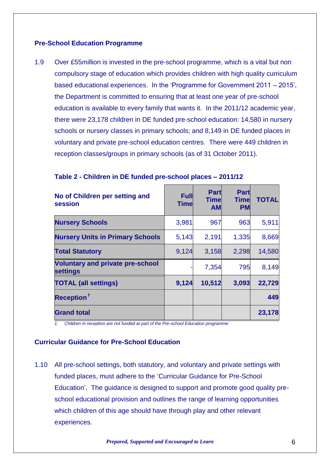#### **Pre-School Education Programme**

1.9 Over £55million is invested in the pre-school programme, which is a vital but non compulsory stage of education which provides children with high quality curriculum based educational experiences. In the 'Programme for Government 2011 – 2015', the Department is committed to ensuring that at least one year of pre-school education is available to every family that wants it. In the 2011/12 academic year, there were 23,178 children in DE funded pre-school education: 14,580 in nursery schools or nursery classes in primary schools; and 8,149 in DE funded places in voluntary and private pre-school education centres. There were 449 children in reception classes/groups in primary schools (as of 31 October 2011).

| No of Children per setting and<br>session                  | <b>Full</b><br>Timel | <b>Part</b><br><b>Time</b><br><b>AM</b> | <b>Part</b><br><b>Time</b><br><b>PM</b> | <b>TOTAL</b> |
|------------------------------------------------------------|----------------------|-----------------------------------------|-----------------------------------------|--------------|
| <b>Nursery Schools</b>                                     | 3,981                | 967                                     | 963                                     | 5,911        |
| <b>Nursery Units in Primary Schools</b>                    | 5,143                | 2,191                                   | 1,335                                   | 8,669        |
| <b>Total Statutory</b>                                     | 9,124                | 3,158                                   | 2,298                                   | 14,580       |
| <b>Voluntary and private pre-school</b><br><b>settings</b> |                      | 7,354                                   | 795                                     | 8,149        |
| <b>TOTAL (all settings)</b>                                | 9,124                | 10,512                                  | 3,093                                   | 22,729       |
| Reception <sup>1</sup>                                     |                      |                                         |                                         | 449          |
| <b>Grand total</b>                                         |                      |                                         |                                         | 23,178       |

#### **Table 2 - Children in DE funded pre-school places – 2011/12**

*1. Children in reception are not funded at part of the Pre-school Education programme*

#### **Curricular Guidance for Pre-School Education**

1.10 All pre-school settings, both statutory, and voluntary and private settings with funded places, must adhere to the 'Curricular Guidance for Pre-School Education'. The guidance is designed to support and promote good quality preschool educational provision and outlines the range of learning opportunities which children of this age should have through play and other relevant experiences.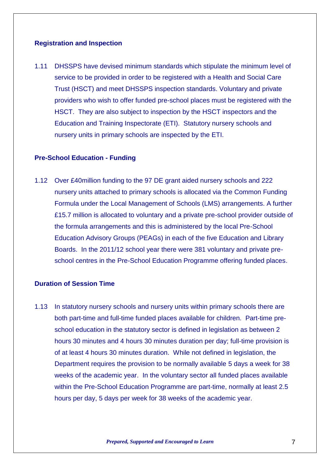#### **Registration and Inspection**

1.11 DHSSPS have devised minimum standards which stipulate the minimum level of service to be provided in order to be registered with a Health and Social Care Trust (HSCT) and meet DHSSPS inspection standards. Voluntary and private providers who wish to offer funded pre-school places must be registered with the HSCT. They are also subject to inspection by the HSCT inspectors and the Education and Training Inspectorate (ETI). Statutory nursery schools and nursery units in primary schools are inspected by the ETI.

#### **Pre-School Education - Funding**

1.12 Over £40million funding to the 97 DE grant aided nursery schools and 222 nursery units attached to primary schools is allocated via the Common Funding Formula under the Local Management of Schools (LMS) arrangements. A further £15.7 million is allocated to voluntary and a private pre-school provider outside of the formula arrangements and this is administered by the local Pre-School Education Advisory Groups (PEAGs) in each of the five Education and Library Boards. In the 2011/12 school year there were 381 voluntary and private preschool centres in the Pre-School Education Programme offering funded places.

#### **Duration of Session Time**

1.13 In statutory nursery schools and nursery units within primary schools there are both part-time and full-time funded places available for children. Part-time preschool education in the statutory sector is defined in legislation as between 2 hours 30 minutes and 4 hours 30 minutes duration per day; full-time provision is of at least 4 hours 30 minutes duration. While not defined in legislation, the Department requires the provision to be normally available 5 days a week for 38 weeks of the academic year. In the voluntary sector all funded places available within the Pre-School Education Programme are part-time, normally at least 2.5 hours per day, 5 days per week for 38 weeks of the academic year.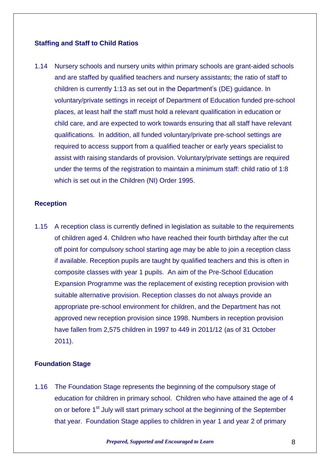#### **Staffing and Staff to Child Ratios**

1.14 Nursery schools and nursery units within primary schools are grant-aided schools and are staffed by qualified teachers and nursery assistants; the ratio of staff to children is currently 1:13 as set out in the Department's (DE) guidance. In voluntary/private settings in receipt of Department of Education funded pre-school places, at least half the staff must hold a relevant qualification in education or child care, and are expected to work towards ensuring that all staff have relevant qualifications. In addition, all funded voluntary/private pre-school settings are required to access support from a qualified teacher or early years specialist to assist with raising standards of provision. Voluntary/private settings are required under the terms of the registration to maintain a minimum staff: child ratio of 1:8 which is set out in the Children (NI) Order 1995.

#### **Reception**

1.15 A reception class is currently defined in legislation as suitable to the requirements of children aged 4. Children who have reached their fourth birthday after the cut off point for compulsory school starting age may be able to join a reception class if available. Reception pupils are taught by qualified teachers and this is often in composite classes with year 1 pupils. An aim of the Pre-School Education Expansion Programme was the replacement of existing reception provision with suitable alternative provision. Reception classes do not always provide an appropriate pre-school environment for children, and the Department has not approved new reception provision since 1998. Numbers in reception provision have fallen from 2,575 children in 1997 to 449 in 2011/12 (as of 31 October 2011).

#### **Foundation Stage**

1.16 The Foundation Stage represents the beginning of the compulsory stage of education for children in primary school. Children who have attained the age of 4 on or before 1<sup>st</sup> July will start primary school at the beginning of the September that year. Foundation Stage applies to children in year 1 and year 2 of primary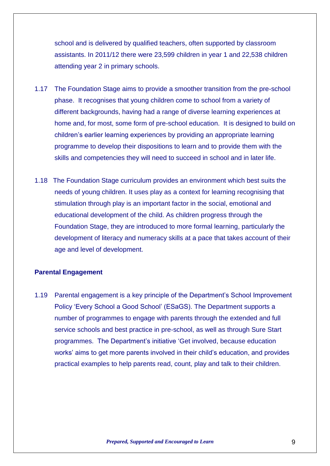school and is delivered by qualified teachers, often supported by classroom assistants. In 2011/12 there were 23,599 children in year 1 and 22,538 children attending year 2 in primary schools.

- 1.17 The Foundation Stage aims to provide a smoother transition from the pre-school phase. It recognises that young children come to school from a variety of different backgrounds, having had a range of diverse learning experiences at home and, for most, some form of pre-school education. It is designed to build on children's earlier learning experiences by providing an appropriate learning programme to develop their dispositions to learn and to provide them with the skills and competencies they will need to succeed in school and in later life.
- 1.18 The Foundation Stage curriculum provides an environment which best suits the needs of young children. It uses play as a context for learning recognising that stimulation through play is an important factor in the social, emotional and educational development of the child. As children progress through the Foundation Stage, they are introduced to more formal learning, particularly the development of literacy and numeracy skills at a pace that takes account of their age and level of development.

#### **Parental Engagement**

1.19 Parental engagement is a key principle of the Department's School Improvement Policy 'Every School a Good School' (ESaGS). The Department supports a number of programmes to engage with parents through the extended and full service schools and best practice in pre-school, as well as through Sure Start programmes. The Department's initiative 'Get involved, because education works' aims to get more parents involved in their child's education, and provides practical examples to help parents read, count, play and talk to their children.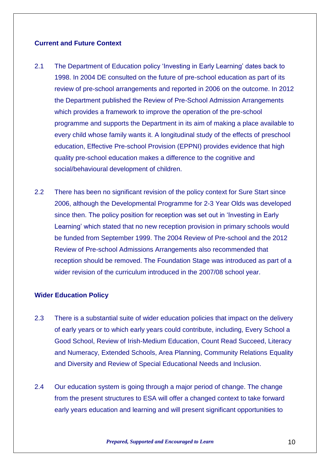#### **Current and Future Context**

- 2.1 The Department of Education policy 'Investing in Early Learning' dates back to 1998. In 2004 DE consulted on the future of pre-school education as part of its review of pre-school arrangements and reported in 2006 on the outcome. In 2012 the Department published the Review of Pre-School Admission Arrangements which provides a framework to improve the operation of the pre-school programme and supports the Department in its aim of making a place available to every child whose family wants it. A longitudinal study of the effects of preschool education, Effective Pre-school Provision (EPPNI) provides evidence that high quality pre-school education makes a difference to the cognitive and social/behavioural development of children.
- 2.2 There has been no significant revision of the policy context for Sure Start since 2006, although the Developmental Programme for 2-3 Year Olds was developed since then. The policy position for reception was set out in 'Investing in Early Learning' which stated that no new reception provision in primary schools would be funded from September 1999. The 2004 Review of Pre-school and the 2012 Review of Pre-school Admissions Arrangements also recommended that reception should be removed. The Foundation Stage was introduced as part of a wider revision of the curriculum introduced in the 2007/08 school year.

#### **Wider Education Policy**

- 2.3 There is a substantial suite of wider education policies that impact on the delivery of early years or to which early years could contribute, including, Every School a Good School, Review of Irish-Medium Education, Count Read Succeed, Literacy and Numeracy, Extended Schools, Area Planning, Community Relations Equality and Diversity and Review of Special Educational Needs and Inclusion.
- 2.4 Our education system is going through a major period of change. The change from the present structures to ESA will offer a changed context to take forward early years education and learning and will present significant opportunities to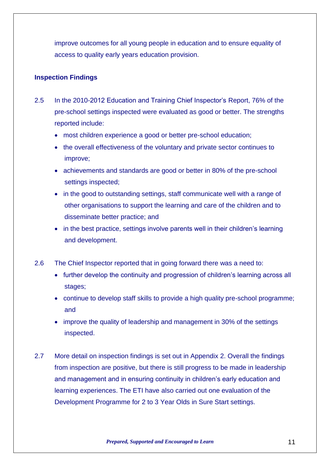improve outcomes for all young people in education and to ensure equality of access to quality early years education provision.

#### **Inspection Findings**

- 2.5 In the 2010-2012 Education and Training Chief Inspector's Report, 76% of the pre-school settings inspected were evaluated as good or better. The strengths reported include:
	- most children experience a good or better pre-school education;
	- the overall effectiveness of the voluntary and private sector continues to improve;
	- achievements and standards are good or better in 80% of the pre-school settings inspected;
	- in the good to outstanding settings, staff communicate well with a range of other organisations to support the learning and care of the children and to disseminate better practice; and
	- in the best practice, settings involve parents well in their children's learning and development.
- 2.6 The Chief Inspector reported that in going forward there was a need to:
	- further develop the continuity and progression of children's learning across all stages;
	- continue to develop staff skills to provide a high quality pre-school programme; and
	- improve the quality of leadership and management in 30% of the settings inspected.
- 2.7 More detail on inspection findings is set out in Appendix 2. Overall the findings from inspection are positive, but there is still progress to be made in leadership and management and in ensuring continuity in children's early education and learning experiences. The ETI have also carried out one evaluation of the Development Programme for 2 to 3 Year Olds in Sure Start settings.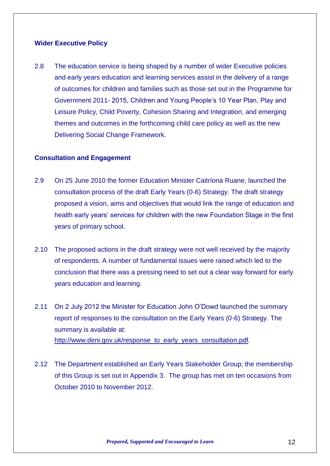#### **Wider Executive Policy**

2.8 The education service is being shaped by a number of wider Executive policies and early years education and learning services assist in the delivery of a range of outcomes for children and families such as those set out in the Programme for Government 2011- 2015, Children and Young People's 10 Year Plan, Play and Leisure Policy, Child Poverty, Cohesion Sharing and Integration, and emerging themes and outcomes in the forthcoming child care policy as well as the new Delivering Social Change Framework.

#### **Consultation and Engagement**

- 2.9 On 25 June 2010 the former Education Minister Caitríona Ruane, launched the consultation process of the draft Early Years (0-6) Strategy. The draft strategy proposed a vision, aims and objectives that would link the range of education and health early years' services for children with the new Foundation Stage in the first years of primary school.
- 2.10 The proposed actions in the draft strategy were not well received by the majority of respondents. A number of fundamental issues were raised which led to the conclusion that there was a pressing need to set out a clear way forward for early years education and learning.
- 2.11 On 2 July 2012 the Minister for Education John O'Dowd launched the summary report of responses to the consultation on the Early Years (0-6) Strategy. The summary is available at: [http://www.deni.gov.uk/response\\_to\\_early\\_years\\_consultation.pdf](http://www.deni.gov.uk/response_to_early_years_consultation.pdf).
- 2.12 The Department established an Early Years Stakeholder Group; the membership of this Group is set out in Appendix 3. The group has met on ten occasions from October 2010 to November 2012.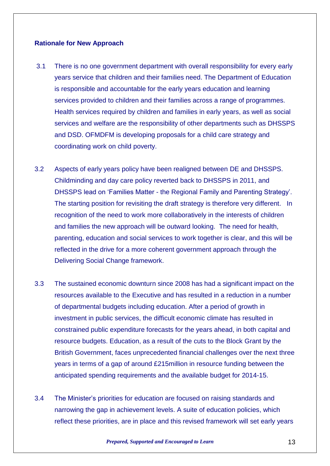#### **Rationale for New Approach**

- 3.1 There is no one government department with overall responsibility for every early years service that children and their families need. The Department of Education is responsible and accountable for the early years education and learning services provided to children and their families across a range of programmes. Health services required by children and families in early years, as well as social services and welfare are the responsibility of other departments such as DHSSPS and DSD. OFMDFM is developing proposals for a child care strategy and coordinating work on child poverty.
- 3.2 Aspects of early years policy have been realigned between DE and DHSSPS. Childminding and day care policy reverted back to DHSSPS in 2011, and DHSSPS lead on 'Families Matter - the Regional Family and Parenting Strategy'. The starting position for revisiting the draft strategy is therefore very different. In recognition of the need to work more collaboratively in the interests of children and families the new approach will be outward looking. The need for health, parenting, education and social services to work together is clear, and this will be reflected in the drive for a more coherent government approach through the Delivering Social Change framework.
- 3.3 The sustained economic downturn since 2008 has had a significant impact on the resources available to the Executive and has resulted in a reduction in a number of departmental budgets including education. After a period of growth in investment in public services, the difficult economic climate has resulted in constrained public expenditure forecasts for the years ahead, in both capital and resource budgets. Education, as a result of the cuts to the Block Grant by the British Government, faces unprecedented financial challenges over the next three years in terms of a gap of around £215million in resource funding between the anticipated spending requirements and the available budget for 2014-15.
- 3.4 The Minister's priorities for education are focused on raising standards and narrowing the gap in achievement levels. A suite of education policies, which reflect these priorities, are in place and this revised framework will set early years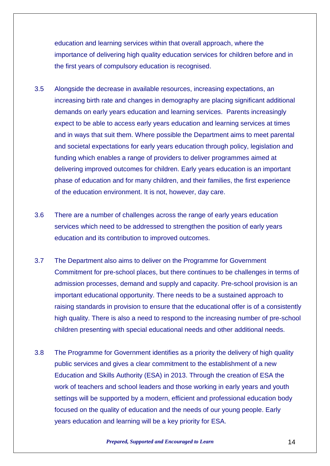education and learning services within that overall approach, where the importance of delivering high quality education services for children before and in the first years of compulsory education is recognised.

- 3.5 Alongside the decrease in available resources, increasing expectations, an increasing birth rate and changes in demography are placing significant additional demands on early years education and learning services. Parents increasingly expect to be able to access early years education and learning services at times and in ways that suit them. Where possible the Department aims to meet parental and societal expectations for early years education through policy, legislation and funding which enables a range of providers to deliver programmes aimed at delivering improved outcomes for children. Early years education is an important phase of education and for many children, and their families, the first experience of the education environment. It is not, however, day care.
- 3.6 There are a number of challenges across the range of early years education services which need to be addressed to strengthen the position of early years education and its contribution to improved outcomes.
- 3.7 The Department also aims to deliver on the Programme for Government Commitment for pre-school places, but there continues to be challenges in terms of admission processes, demand and supply and capacity. Pre-school provision is an important educational opportunity. There needs to be a sustained approach to raising standards in provision to ensure that the educational offer is of a consistently high quality. There is also a need to respond to the increasing number of pre-school children presenting with special educational needs and other additional needs.
- 3.8 The Programme for Government identifies as a priority the delivery of high quality public services and gives a clear commitment to the establishment of a new Education and Skills Authority (ESA) in 2013. Through the creation of ESA the work of teachers and school leaders and those working in early years and youth settings will be supported by a modern, efficient and professional education body focused on the quality of education and the needs of our young people. Early years education and learning will be a key priority for ESA.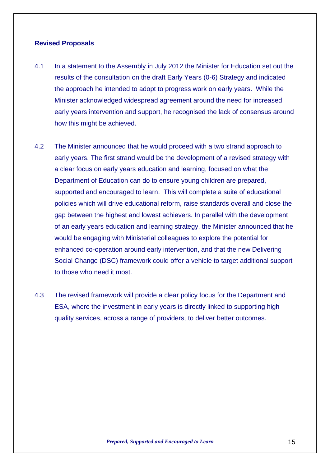#### **Revised Proposals**

- 4.1 In a statement to the Assembly in July 2012 the Minister for Education set out the results of the consultation on the draft Early Years (0-6) Strategy and indicated the approach he intended to adopt to progress work on early years. While the Minister acknowledged widespread agreement around the need for increased early years intervention and support, he recognised the lack of consensus around how this might be achieved.
- 4.2 The Minister announced that he would proceed with a two strand approach to early years. The first strand would be the development of a revised strategy with a clear focus on early years education and learning, focused on what the Department of Education can do to ensure young children are prepared, supported and encouraged to learn. This will complete a suite of educational policies which will drive educational reform, raise standards overall and close the gap between the highest and lowest achievers. In parallel with the development of an early years education and learning strategy, the Minister announced that he would be engaging with Ministerial colleagues to explore the potential for enhanced co-operation around early intervention, and that the new Delivering Social Change (DSC) framework could offer a vehicle to target additional support to those who need it most.
- 4.3 The revised framework will provide a clear policy focus for the Department and ESA, where the investment in early years is directly linked to supporting high quality services, across a range of providers, to deliver better outcomes.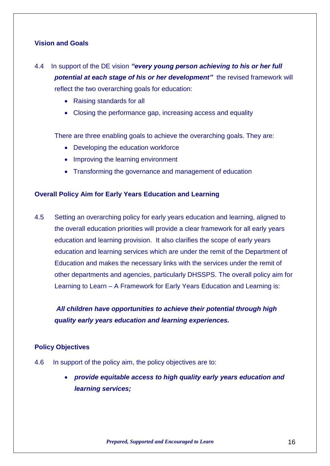#### **Vision and Goals**

- 4.4 In support of the DE vision *"every young person achieving to his or her full potential at each stage of his or her development"* the revised framework will reflect the two overarching goals for education:
	- Raising standards for all
	- Closing the performance gap, increasing access and equality

There are three enabling goals to achieve the overarching goals. They are:

- Developing the education workforce
- Improving the learning environment
- Transforming the governance and management of education

#### **Overall Policy Aim for Early Years Education and Learning**

4.5 Setting an overarching policy for early years education and learning, aligned to the overall education priorities will provide a clear framework for all early years education and learning provision. It also clarifies the scope of early years education and learning services which are under the remit of the Department of Education and makes the necessary links with the services under the remit of other departments and agencies, particularly DHSSPS. The overall policy aim for Learning to Learn – A Framework for Early Years Education and Learning is:

*All children have opportunities to achieve their potential through high quality early years education and learning experiences.*

#### **Policy Objectives**

- 4.6 In support of the policy aim, the policy objectives are to:
	- *provide equitable access to high quality early years education and learning services;*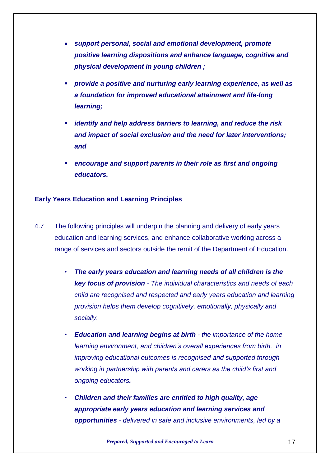- *support personal, social and emotional development, promote positive learning dispositions and enhance language, cognitive and physical development in young children ;*
- *provide a positive and nurturing early learning experience, as well as a foundation for improved educational attainment and life-long learning;*
- *identify and help address barriers to learning, and reduce the risk and impact of social exclusion and the need for later interventions; and*
- *encourage and support parents in their role as first and ongoing educators.*

#### **Early Years Education and Learning Principles**

- 4.7 The following principles will underpin the planning and delivery of early years education and learning services, and enhance collaborative working across a range of services and sectors outside the remit of the Department of Education.
	- *The early years education and learning needs of all children is the key focus of provision - The individual characteristics and needs of each child are recognised and respected and early years education and learning provision helps them develop cognitively, emotionally, physically and socially.*
	- *Education and learning begins at birth - the importance of the home learning environment, and children's overall experiences from birth, in improving educational outcomes is recognised and supported through working in partnership with parents and carers as the child's first and ongoing educators.*
	- *Children and their families are entitled to high quality, age appropriate early years education and learning services and opportunities - delivered in safe and inclusive environments, led by a*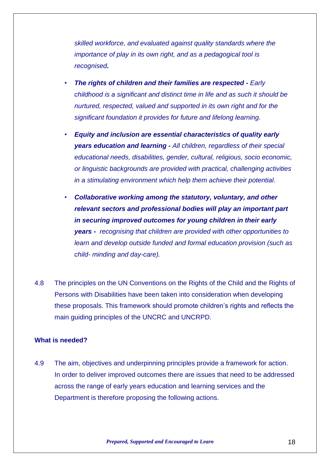*skilled workforce, and evaluated against quality standards where the importance of play in its own right, and as a pedagogical tool is recognised.*

- *The rights of children and their families are respected - Early childhood is a significant and distinct time in life and as such it should be nurtured, respected, valued and supported in its own right and for the significant foundation it provides for future and lifelong learning.*
- *Equity and inclusion are essential characteristics of quality early years education and learning - All children, regardless of their special educational needs, disabilities, gender, cultural, religious, socio economic, or linguistic backgrounds are provided with practical, challenging activities in a stimulating environment which help them achieve their potential.*
- *Collaborative working among the statutory, voluntary, and other relevant sectors and professional bodies will play an important part in securing improved outcomes for young children in their early years - recognising that children are provided with other opportunities to learn and develop outside funded and formal education provision (such as child- minding and day-care).*
- 4.8 The principles on the UN Conventions on the Rights of the Child and the Rights of Persons with Disabilities have been taken into consideration when developing these proposals. This framework should promote children's rights and reflects the main guiding principles of the UNCRC and UNCRPD.

#### **What is needed?**

4.9 The aim, objectives and underpinning principles provide a framework for action. In order to deliver improved outcomes there are issues that need to be addressed across the range of early years education and learning services and the Department is therefore proposing the following actions.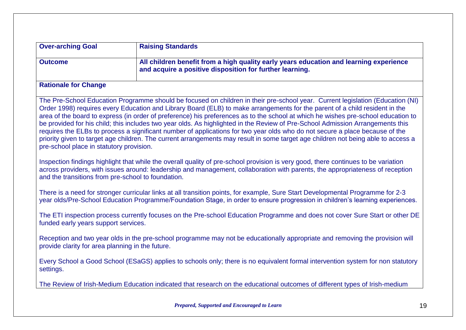| <b>Over-arching Goal</b><br><b>Raising Standards</b> |                                                                                                                                                                                                                                                                                                                                                                                                                                                                                                                                                                                                                                                                                                                                                                                                           |  |  |
|------------------------------------------------------|-----------------------------------------------------------------------------------------------------------------------------------------------------------------------------------------------------------------------------------------------------------------------------------------------------------------------------------------------------------------------------------------------------------------------------------------------------------------------------------------------------------------------------------------------------------------------------------------------------------------------------------------------------------------------------------------------------------------------------------------------------------------------------------------------------------|--|--|
| <b>Outcome</b>                                       | All children benefit from a high quality early years education and learning experience<br>and acquire a positive disposition for further learning.                                                                                                                                                                                                                                                                                                                                                                                                                                                                                                                                                                                                                                                        |  |  |
| <b>Rationale for Change</b>                          |                                                                                                                                                                                                                                                                                                                                                                                                                                                                                                                                                                                                                                                                                                                                                                                                           |  |  |
| pre-school place in statutory provision.             | The Pre-School Education Programme should be focused on children in their pre-school year. Current legislation (Education (NI)<br>Order 1998) requires every Education and Library Board (ELB) to make arrangements for the parent of a child resident in the<br>area of the board to express (in order of preference) his preferences as to the school at which he wishes pre-school education to<br>be provided for his child; this includes two year olds. As highlighted in the Review of Pre-School Admission Arrangements this<br>requires the ELBs to process a significant number of applications for two year olds who do not secure a place because of the<br>priority given to target age children. The current arrangements may result in some target age children not being able to access a |  |  |
| and the transitions from pre-school to foundation.   | Inspection findings highlight that while the overall quality of pre-school provision is very good, there continues to be variation<br>across providers, with issues around: leadership and management, collaboration with parents, the appropriateness of reception                                                                                                                                                                                                                                                                                                                                                                                                                                                                                                                                       |  |  |
|                                                      | There is a need for stronger curricular links at all transition points, for example, Sure Start Developmental Programme for 2-3<br>year olds/Pre-School Education Programme/Foundation Stage, in order to ensure progression in children's learning experiences.                                                                                                                                                                                                                                                                                                                                                                                                                                                                                                                                          |  |  |
| funded early years support services.                 | The ETI inspection process currently focuses on the Pre-school Education Programme and does not cover Sure Start or other DE                                                                                                                                                                                                                                                                                                                                                                                                                                                                                                                                                                                                                                                                              |  |  |
| provide clarity for area planning in the future.     | Reception and two year olds in the pre-school programme may not be educationally appropriate and removing the provision will                                                                                                                                                                                                                                                                                                                                                                                                                                                                                                                                                                                                                                                                              |  |  |
| settings.                                            | Every School a Good School (ESaGS) applies to schools only; there is no equivalent formal intervention system for non statutory                                                                                                                                                                                                                                                                                                                                                                                                                                                                                                                                                                                                                                                                           |  |  |
|                                                      | The Review of Irish-Medium Education indicated that research on the educational outcomes of different types of Irish-medium                                                                                                                                                                                                                                                                                                                                                                                                                                                                                                                                                                                                                                                                               |  |  |
|                                                      | Prepared, Supported and Encouraged to Learn                                                                                                                                                                                                                                                                                                                                                                                                                                                                                                                                                                                                                                                                                                                                                               |  |  |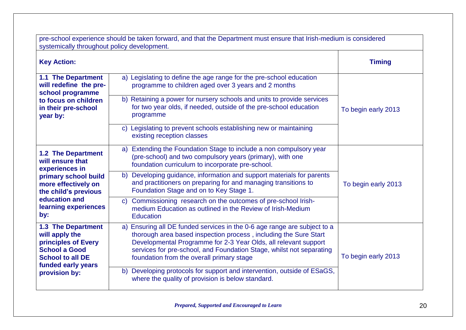| pre-school experience should be taken forward, and that the Department must ensure that Irish-medium is considered<br>systemically throughout policy development. |                                                                                                                                                                                                                                                                                                                                      |                     |  |
|-------------------------------------------------------------------------------------------------------------------------------------------------------------------|--------------------------------------------------------------------------------------------------------------------------------------------------------------------------------------------------------------------------------------------------------------------------------------------------------------------------------------|---------------------|--|
| <b>Key Action:</b>                                                                                                                                                |                                                                                                                                                                                                                                                                                                                                      | <b>Timing</b>       |  |
| <b>1.1 The Department</b><br>will redefine the pre-<br>school programme                                                                                           | a) Legislating to define the age range for the pre-school education<br>programme to children aged over 3 years and 2 months                                                                                                                                                                                                          |                     |  |
| to focus on children<br>in their pre-school<br>year by:                                                                                                           | b) Retaining a power for nursery schools and units to provide services<br>for two year olds, if needed, outside of the pre-school education<br>programme                                                                                                                                                                             | To begin early 2013 |  |
|                                                                                                                                                                   | c) Legislating to prevent schools establishing new or maintaining<br>existing reception classes                                                                                                                                                                                                                                      |                     |  |
| <b>1.2 The Department</b><br>will ensure that<br>experiences in                                                                                                   | Extending the Foundation Stage to include a non compulsory year<br>a)<br>(pre-school) and two compulsory years (primary), with one<br>foundation curriculum to incorporate pre-school.                                                                                                                                               |                     |  |
| primary school build<br>more effectively on<br>the child's previous                                                                                               | Developing guidance, information and support materials for parents<br>b)<br>and practitioners on preparing for and managing transitions to<br>Foundation Stage and on to Key Stage 1.                                                                                                                                                | To begin early 2013 |  |
| education and<br>learning experiences<br>by:                                                                                                                      | Commissioning research on the outcomes of pre-school Irish-<br>$\mathsf{C}$<br>medium Education as outlined in the Review of Irish-Medium<br><b>Education</b>                                                                                                                                                                        |                     |  |
| <b>1.3 The Department</b><br>will apply the<br>principles of Every<br><b>School a Good</b><br><b>School to all DE</b><br>funded early years                       | a) Ensuring all DE funded services in the 0-6 age range are subject to a<br>thorough area based inspection process, including the Sure Start<br>Developmental Programme for 2-3 Year Olds, all relevant support<br>services for pre-school, and Foundation Stage, whilst not separating<br>foundation from the overall primary stage | To begin early 2013 |  |
| provision by:                                                                                                                                                     | Developing protocols for support and intervention, outside of ESaGS,<br>b)<br>where the quality of provision is below standard.                                                                                                                                                                                                      |                     |  |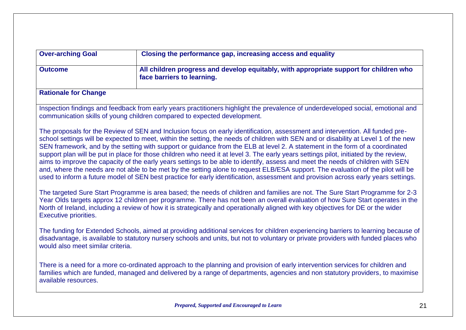| <b>Over-arching Goal</b><br>Closing the performance gap, increasing access and equality                                                |                                                                                                                                                                                                                                                                                                                                                                                                                                                                                                                                                                                                                                                                                                                                                                                                                                                                                                                                                                                                                                                                                                                                                                                                                                                                                                                                                                     |
|----------------------------------------------------------------------------------------------------------------------------------------|---------------------------------------------------------------------------------------------------------------------------------------------------------------------------------------------------------------------------------------------------------------------------------------------------------------------------------------------------------------------------------------------------------------------------------------------------------------------------------------------------------------------------------------------------------------------------------------------------------------------------------------------------------------------------------------------------------------------------------------------------------------------------------------------------------------------------------------------------------------------------------------------------------------------------------------------------------------------------------------------------------------------------------------------------------------------------------------------------------------------------------------------------------------------------------------------------------------------------------------------------------------------------------------------------------------------------------------------------------------------|
| All children progress and develop equitably, with appropriate support for children who<br><b>Outcome</b><br>face barriers to learning. |                                                                                                                                                                                                                                                                                                                                                                                                                                                                                                                                                                                                                                                                                                                                                                                                                                                                                                                                                                                                                                                                                                                                                                                                                                                                                                                                                                     |
| <b>Rationale for Change</b>                                                                                                            |                                                                                                                                                                                                                                                                                                                                                                                                                                                                                                                                                                                                                                                                                                                                                                                                                                                                                                                                                                                                                                                                                                                                                                                                                                                                                                                                                                     |
|                                                                                                                                        | Inspection findings and feedback from early years practitioners highlight the prevalence of underdeveloped social, emotional and<br>communication skills of young children compared to expected development.                                                                                                                                                                                                                                                                                                                                                                                                                                                                                                                                                                                                                                                                                                                                                                                                                                                                                                                                                                                                                                                                                                                                                        |
| <b>Executive priorities.</b>                                                                                                           | The proposals for the Review of SEN and Inclusion focus on early identification, assessment and intervention. All funded pre-<br>school settings will be expected to meet, within the setting, the needs of children with SEN and or disability at Level 1 of the new<br>SEN framework, and by the setting with support or guidance from the ELB at level 2. A statement in the form of a coordinated<br>support plan will be put in place for those children who need it at level 3. The early years settings pilot, initiated by the review,<br>aims to improve the capacity of the early years settings to be able to identify, assess and meet the needs of children with SEN<br>and, where the needs are not able to be met by the setting alone to request ELB/ESA support. The evaluation of the pilot will be<br>used to inform a future model of SEN best practice for early identification, assessment and provision across early years settings.<br>The targeted Sure Start Programme is area based; the needs of children and families are not. The Sure Start Programme for 2-3<br>Year Olds targets approx 12 children per programme. There has not been an overall evaluation of how Sure Start operates in the<br>North of Ireland, including a review of how it is strategically and operationally aligned with key objectives for DE or the wider |
| would also meet similar criteria.                                                                                                      | The funding for Extended Schools, aimed at providing additional services for children experiencing barriers to learning because of<br>disadvantage, is available to statutory nursery schools and units, but not to voluntary or private providers with funded places who                                                                                                                                                                                                                                                                                                                                                                                                                                                                                                                                                                                                                                                                                                                                                                                                                                                                                                                                                                                                                                                                                           |
| available resources.                                                                                                                   | There is a need for a more co-ordinated approach to the planning and provision of early intervention services for children and<br>families which are funded, managed and delivered by a range of departments, agencies and non statutory providers, to maximise                                                                                                                                                                                                                                                                                                                                                                                                                                                                                                                                                                                                                                                                                                                                                                                                                                                                                                                                                                                                                                                                                                     |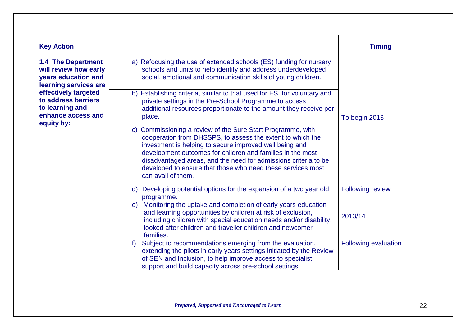| <b>Key Action</b>                                                                                  |                                                                                                                                                                                                                                                                                                                                                                                                                         | <b>Timing</b>        |
|----------------------------------------------------------------------------------------------------|-------------------------------------------------------------------------------------------------------------------------------------------------------------------------------------------------------------------------------------------------------------------------------------------------------------------------------------------------------------------------------------------------------------------------|----------------------|
| <b>1.4 The Department</b><br>will review how early<br>years education and<br>learning services are | a) Refocusing the use of extended schools (ES) funding for nursery<br>schools and units to help identify and address underdeveloped<br>social, emotional and communication skills of young children.                                                                                                                                                                                                                    |                      |
| effectively targeted<br>to address barriers<br>to learning and<br>enhance access and<br>equity by: | b) Establishing criteria, similar to that used for ES, for voluntary and<br>private settings in the Pre-School Programme to access<br>additional resources proportionate to the amount they receive per<br>place.                                                                                                                                                                                                       | To begin 2013        |
|                                                                                                    | Commissioning a review of the Sure Start Programme, with<br>$\mathsf{C}$<br>cooperation from DHSSPS, to assess the extent to which the<br>investment is helping to secure improved well being and<br>development outcomes for children and families in the most<br>disadvantaged areas, and the need for admissions criteria to be<br>developed to ensure that those who need these services most<br>can avail of them. |                      |
|                                                                                                    | Developing potential options for the expansion of a two year old<br>$\mathsf{d}$<br>programme.                                                                                                                                                                                                                                                                                                                          | Following review     |
|                                                                                                    | Monitoring the uptake and completion of early years education<br>$\epsilon$<br>and learning opportunities by children at risk of exclusion,<br>including children with special education needs and/or disability,<br>looked after children and traveller children and newcomer<br>families.                                                                                                                             | 2013/14              |
|                                                                                                    | Subject to recommendations emerging from the evaluation,<br>$f$ )<br>extending the pilots in early years settings initiated by the Review<br>of SEN and Inclusion, to help improve access to specialist<br>support and build capacity across pre-school settings.                                                                                                                                                       | Following evaluation |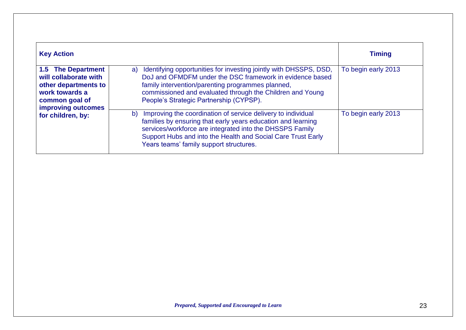| <b>Key Action</b>                                                                                                                    |                                                                                                                                                                                                                                                                                                           | <b>Timing</b>       |
|--------------------------------------------------------------------------------------------------------------------------------------|-----------------------------------------------------------------------------------------------------------------------------------------------------------------------------------------------------------------------------------------------------------------------------------------------------------|---------------------|
| <b>1.5 The Department</b><br>will collaborate with<br>other departments to<br>work towards a<br>common goal of<br>improving outcomes | Identifying opportunities for investing jointly with DHSSPS, DSD,<br>a)<br>DoJ and OFMDFM under the DSC framework in evidence based<br>family intervention/parenting programmes planned,<br>commissioned and evaluated through the Children and Young<br>People's Strategic Partnership (CYPSP).          | To begin early 2013 |
| for children, by:                                                                                                                    | Improving the coordination of service delivery to individual<br>b)<br>families by ensuring that early years education and learning<br>services/workforce are integrated into the DHSSPS Family<br>Support Hubs and into the Health and Social Care Trust Early<br>Years teams' family support structures. | To begin early 2013 |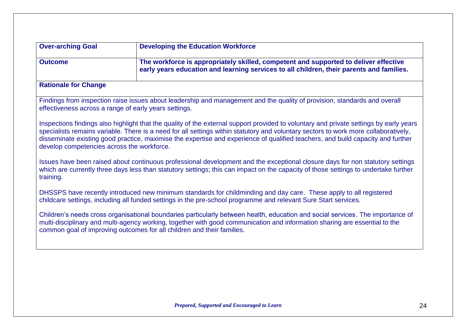| <b>Over-arching Goal</b>                                                                                                                                                                           | <b>Developing the Education Workforce</b>                                                                                                                                                                                                                                                                                                                                                                        |  |
|----------------------------------------------------------------------------------------------------------------------------------------------------------------------------------------------------|------------------------------------------------------------------------------------------------------------------------------------------------------------------------------------------------------------------------------------------------------------------------------------------------------------------------------------------------------------------------------------------------------------------|--|
| The workforce is appropriately skilled, competent and supported to deliver effective<br><b>Outcome</b><br>early years education and learning services to all children, their parents and families. |                                                                                                                                                                                                                                                                                                                                                                                                                  |  |
| <b>Rationale for Change</b>                                                                                                                                                                        |                                                                                                                                                                                                                                                                                                                                                                                                                  |  |
| effectiveness across a range of early years settings.                                                                                                                                              | Findings from inspection raise issues about leadership and management and the quality of provision, standards and overall                                                                                                                                                                                                                                                                                        |  |
| develop competencies across the workforce.                                                                                                                                                         | Inspections findings also highlight that the quality of the external support provided to voluntary and private settings by early years<br>specialists remains variable. There is a need for all settings within statutory and voluntary sectors to work more collaboratively,<br>disseminate existing good practice, maximise the expertise and experience of qualified teachers, and build capacity and further |  |
| training.                                                                                                                                                                                          | Issues have been raised about continuous professional development and the exceptional closure days for non statutory settings<br>which are currently three days less than statutory settings; this can impact on the capacity of those settings to undertake further                                                                                                                                             |  |
|                                                                                                                                                                                                    | DHSSPS have recently introduced new minimum standards for childminding and day care. These apply to all registered<br>childcare settings, including all funded settings in the pre-school programme and relevant Sure Start services.                                                                                                                                                                            |  |
|                                                                                                                                                                                                    | Children's needs cross organisational boundaries particularly between health, education and social services. The importance of                                                                                                                                                                                                                                                                                   |  |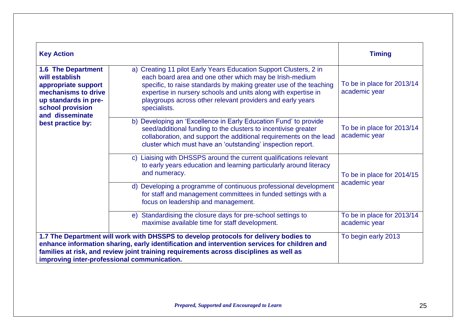| <b>Key Action</b>                                                                                                                                        |                                                                                                                                                                                                                                                                                                                                                    | <b>Timing</b>                               |
|----------------------------------------------------------------------------------------------------------------------------------------------------------|----------------------------------------------------------------------------------------------------------------------------------------------------------------------------------------------------------------------------------------------------------------------------------------------------------------------------------------------------|---------------------------------------------|
| <b>1.6 The Department</b><br>will establish<br>appropriate support<br>mechanisms to drive<br>up standards in pre-<br>school provision<br>and disseminate | a) Creating 11 pilot Early Years Education Support Clusters, 2 in<br>each board area and one other which may be Irish-medium<br>specific, to raise standards by making greater use of the teaching<br>expertise in nursery schools and units along with expertise in<br>playgroups across other relevant providers and early years<br>specialists. | To be in place for 2013/14<br>academic year |
| best practice by:                                                                                                                                        | b) Developing an 'Excellence in Early Education Fund' to provide<br>seed/additional funding to the clusters to incentivise greater<br>collaboration, and support the additional requirements on the lead<br>cluster which must have an 'outstanding' inspection report.                                                                            | To be in place for 2013/14<br>academic year |
|                                                                                                                                                          | c) Liaising with DHSSPS around the current qualifications relevant<br>to early years education and learning particularly around literacy<br>and numeracy.                                                                                                                                                                                          | To be in place for 2014/15                  |
|                                                                                                                                                          | d) Developing a programme of continuous professional development<br>for staff and management committees in funded settings with a<br>focus on leadership and management.                                                                                                                                                                           | academic year                               |
|                                                                                                                                                          | e) Standardising the closure days for pre-school settings to<br>maximise available time for staff development.                                                                                                                                                                                                                                     | To be in place for 2013/14<br>academic year |
|                                                                                                                                                          | 1.7 The Department will work with DHSSPS to develop protocols for delivery bodies to                                                                                                                                                                                                                                                               | To begin early 2013                         |
|                                                                                                                                                          | enhance information sharing, early identification and intervention services for children and<br>families at risk, and review joint training requirements across disciplines as well as                                                                                                                                                             |                                             |
| improving inter-professional communication.                                                                                                              |                                                                                                                                                                                                                                                                                                                                                    |                                             |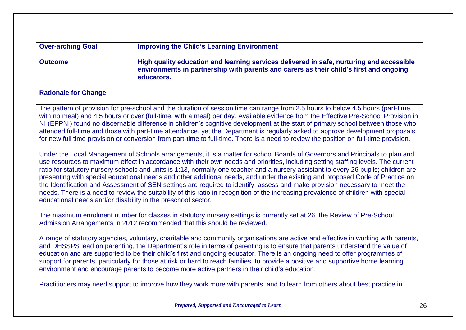| <b>Over-arching Goal</b> | <b>Improving the Child's Learning Environment</b>                                                                                                                                                |
|--------------------------|--------------------------------------------------------------------------------------------------------------------------------------------------------------------------------------------------|
| <b>Outcome</b>           | High quality education and learning services delivered in safe, nurturing and accessible<br>environments in partnership with parents and carers as their child's first and ongoing<br>educators. |
|                          |                                                                                                                                                                                                  |

#### **Rationale for Change**

The pattern of provision for pre-school and the duration of session time can range from 2.5 hours to below 4.5 hours (part-time, with no meal) and 4.5 hours or over (full-time, with a meal) per day. Available evidence from the Effective Pre-School Provision in NI (EPPNI) found no discernable difference in children's cognitive development at the start of primary school between those who attended full-time and those with part-time attendance, yet the Department is regularly asked to approve development proposals for new full time provision or conversion from part-time to full-time. There is a need to review the position on full-time provision.

Under the Local Management of Schools arrangements, it is a matter for school Boards of Governors and Principals to plan and use resources to maximum effect in accordance with their own needs and priorities, including setting staffing levels. The current ratio for statutory nursery schools and units is 1:13, normally one teacher and a nursery assistant to every 26 pupils; children are presenting with special educational needs and other additional needs, and under the existing and proposed Code of Practice on the Identification and Assessment of SEN settings are required to identify, assess and make provision necessary to meet the needs. There is a need to review the suitability of this ratio in recognition of the increasing prevalence of children with special educational needs and/or disability in the preschool sector.

The maximum enrolment number for classes in statutory nursery settings is currently set at 26, the Review of Pre-School Admission Arrangements in 2012 recommended that this should be reviewed.

A range of statutory agencies, voluntary, charitable and community organisations are active and effective in working with parents, and DHSSPS lead on parenting, the Department's role in terms of parenting is to ensure that parents understand the value of education and are supported to be their child's first and ongoing educator. There is an ongoing need to offer programmes of support for parents, particularly for those at risk or hard to reach families, to provide a positive and supportive home learning environment and encourage parents to become more active partners in their child's education.

Practitioners may need support to improve how they work more with parents, and to learn from others about best practice in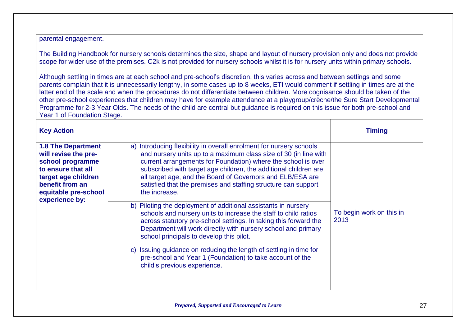parental engagement.

The Building Handbook for nursery schools determines the size, shape and layout of nursery provision only and does not provide scope for wider use of the premises. C2k is not provided for nursery schools whilst it is for nursery units within primary schools.

Although settling in times are at each school and pre-school's discretion, this varies across and between settings and some parents complain that it is unnecessarily lengthy, in some cases up to 8 weeks, ETI would comment if settling in times are at the latter end of the scale and when the procedures do not differentiate between children. More cognisance should be taken of the other pre-school experiences that children may have for example attendance at a playgroup/crèche/the Sure Start Developmental Programme for 2-3 Year Olds. The needs of the child are central but guidance is required on this issue for both pre-school and Year 1 of Foundation Stage.

| <b>Key Action</b>                                                                                                                                                               |                                                                                                                                                                                                                                                                                                                                                                                                                                                                                                 | <b>Timing</b>                    |
|---------------------------------------------------------------------------------------------------------------------------------------------------------------------------------|-------------------------------------------------------------------------------------------------------------------------------------------------------------------------------------------------------------------------------------------------------------------------------------------------------------------------------------------------------------------------------------------------------------------------------------------------------------------------------------------------|----------------------------------|
| <b>1.8 The Department</b><br>will revise the pre-<br>school programme<br>to ensure that all<br>target age children<br>benefit from an<br>equitable pre-school<br>experience by: | a) Introducing flexibility in overall enrolment for nursery schools<br>and nursery units up to a maximum class size of 30 (in line with<br>current arrangements for Foundation) where the school is over<br>subscribed with target age children, the additional children are<br>all target age, and the Board of Governors and ELB/ESA are<br>satisfied that the premises and staffing structure can support<br>the increase.<br>b) Piloting the deployment of additional assistants in nursery |                                  |
|                                                                                                                                                                                 | schools and nursery units to increase the staff to child ratios<br>across statutory pre-school settings. In taking this forward the<br>Department will work directly with nursery school and primary<br>school principals to develop this pilot.                                                                                                                                                                                                                                                | To begin work on this in<br>2013 |
|                                                                                                                                                                                 | c) Issuing guidance on reducing the length of settling in time for<br>pre-school and Year 1 (Foundation) to take account of the<br>child's previous experience.                                                                                                                                                                                                                                                                                                                                 |                                  |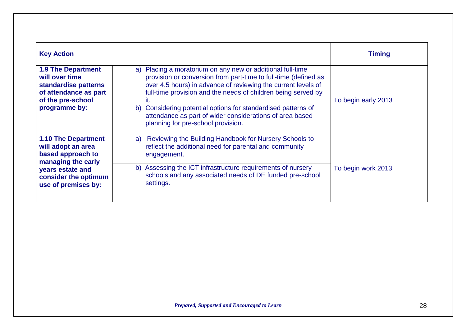| <b>Key Action</b>                                                                                                                                              |                                                                                                                                                                                                                                                                                                                                                                                                                                              | <b>Timing</b>       |
|----------------------------------------------------------------------------------------------------------------------------------------------------------------|----------------------------------------------------------------------------------------------------------------------------------------------------------------------------------------------------------------------------------------------------------------------------------------------------------------------------------------------------------------------------------------------------------------------------------------------|---------------------|
| <b>1.9 The Department</b><br>will over time<br>standardise patterns<br>of attendance as part<br>of the pre-school<br>programme by:                             | Placing a moratorium on any new or additional full-time<br>a)<br>provision or conversion from part-time to full-time (defined as<br>over 4.5 hours) in advance of reviewing the current levels of<br>full-time provision and the needs of children being served by<br>it.<br>b) Considering potential options for standardised patterns of<br>attendance as part of wider considerations of area based<br>planning for pre-school provision. | To begin early 2013 |
| <b>1.10 The Department</b><br>will adopt an area<br>based approach to<br>managing the early<br>years estate and<br>consider the optimum<br>use of premises by: | Reviewing the Building Handbook for Nursery Schools to<br>a)<br>reflect the additional need for parental and community<br>engagement.<br>b) Assessing the ICT infrastructure requirements of nursery<br>schools and any associated needs of DE funded pre-school<br>settings.                                                                                                                                                                | To begin work 2013  |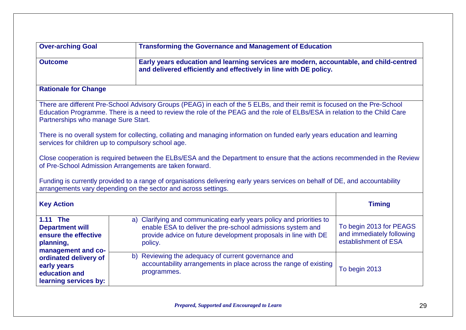| <b>Over-arching Goal</b>                                                                      | <b>Transforming the Governance and Management of Education</b>                                                                                                                                                                                                                                                                                                                                                                                                                                                                                                                                                                                                                                                                                                                                                                          |                                                                                        |  |  |
|-----------------------------------------------------------------------------------------------|-----------------------------------------------------------------------------------------------------------------------------------------------------------------------------------------------------------------------------------------------------------------------------------------------------------------------------------------------------------------------------------------------------------------------------------------------------------------------------------------------------------------------------------------------------------------------------------------------------------------------------------------------------------------------------------------------------------------------------------------------------------------------------------------------------------------------------------------|----------------------------------------------------------------------------------------|--|--|
| <b>Outcome</b>                                                                                | and delivered efficiently and effectively in line with DE policy.                                                                                                                                                                                                                                                                                                                                                                                                                                                                                                                                                                                                                                                                                                                                                                       | Early years education and learning services are modern, accountable, and child-centred |  |  |
| <b>Rationale for Change</b>                                                                   |                                                                                                                                                                                                                                                                                                                                                                                                                                                                                                                                                                                                                                                                                                                                                                                                                                         |                                                                                        |  |  |
| Partnerships who manage Sure Start.                                                           | There are different Pre-School Advisory Groups (PEAG) in each of the 5 ELBs, and their remit is focused on the Pre-School<br>Education Programme. There is a need to review the role of the PEAG and the role of ELBs/ESA in relation to the Child Care<br>There is no overall system for collecting, collating and managing information on funded early years education and learning<br>services for children up to compulsory school age.<br>Close cooperation is required between the ELBs/ESA and the Department to ensure that the actions recommended in the Review<br>of Pre-School Admission Arrangements are taken forward.<br>Funding is currently provided to a range of organisations delivering early years services on behalf of DE, and accountability<br>arrangements vary depending on the sector and across settings. |                                                                                        |  |  |
| <b>Key Action</b>                                                                             |                                                                                                                                                                                                                                                                                                                                                                                                                                                                                                                                                                                                                                                                                                                                                                                                                                         | <b>Timing</b>                                                                          |  |  |
| 1.11 The<br><b>Department will</b><br>ensure the effective<br>planning,<br>management and co- | Clarifying and communicating early years policy and priorities to<br>a)<br>enable ESA to deliver the pre-school admissions system and<br>provide advice on future development proposals in line with DE<br>policy.                                                                                                                                                                                                                                                                                                                                                                                                                                                                                                                                                                                                                      | To begin 2013 for PEAGS<br>and immediately following<br>establishment of ESA           |  |  |
| ordinated delivery of<br>early years<br>education and<br>learning services by:                | Reviewing the adequacy of current governance and<br>b)<br>accountability arrangements in place across the range of existing<br>programmes.                                                                                                                                                                                                                                                                                                                                                                                                                                                                                                                                                                                                                                                                                              | To begin 2013                                                                          |  |  |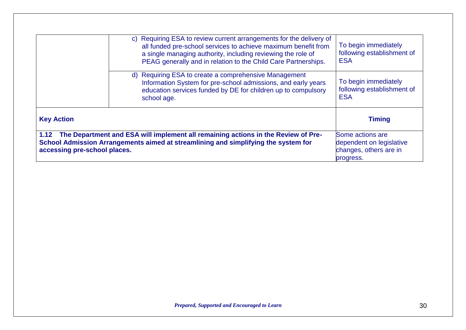| accessing pre-school places. | 1.12 The Department and ESA will implement all remaining actions in the Review of Pre-<br>School Admission Arrangements aimed at streamlining and simplifying the system for                                                                                               | Some actions are<br>dependent on legislative<br>changes, others are in<br>progress. |
|------------------------------|----------------------------------------------------------------------------------------------------------------------------------------------------------------------------------------------------------------------------------------------------------------------------|-------------------------------------------------------------------------------------|
| <b>Key Action</b>            |                                                                                                                                                                                                                                                                            | <b>Timing</b>                                                                       |
|                              | d) Requiring ESA to create a comprehensive Management<br>Information System for pre-school admissions, and early years<br>education services funded by DE for children up to compulsory<br>school age.                                                                     | To begin immediately<br>following establishment of<br><b>ESA</b>                    |
|                              | Requiring ESA to review current arrangements for the delivery of<br>C)<br>all funded pre-school services to achieve maximum benefit from<br>a single managing authority, including reviewing the role of<br>PEAG generally and in relation to the Child Care Partnerships. | To begin immediately<br>following establishment of<br><b>ESA</b>                    |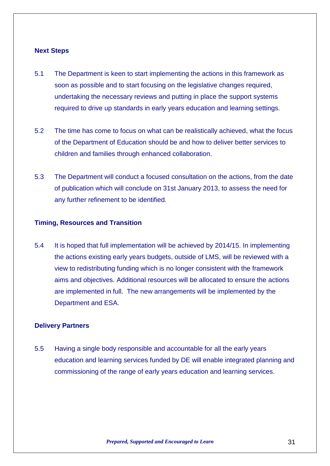#### **Next Steps**

- 5.1 The Department is keen to start implementing the actions in this framework as soon as possible and to start focusing on the legislative changes required, undertaking the necessary reviews and putting in place the support systems required to drive up standards in early years education and learning settings.
- 5.2 The time has come to focus on what can be realistically achieved, what the focus of the Department of Education should be and how to deliver better services to children and families through enhanced collaboration.
- 5.3 The Department will conduct a focused consultation on the actions, from the date of publication which will conclude on 31st January 2013, to assess the need for any further refinement to be identified.

#### **Timing, Resources and Transition**

5.4 It is hoped that full implementation will be achieved by 2014/15. In implementing the actions existing early years budgets, outside of LMS, will be reviewed with a view to redistributing funding which is no longer consistent with the framework aims and objectives. Additional resources will be allocated to ensure the actions are implemented in full. The new arrangements will be implemented by the Department and ESA.

#### **Delivery Partners**

5.5 Having a single body responsible and accountable for all the early years education and learning services funded by DE will enable integrated planning and commissioning of the range of early years education and learning services.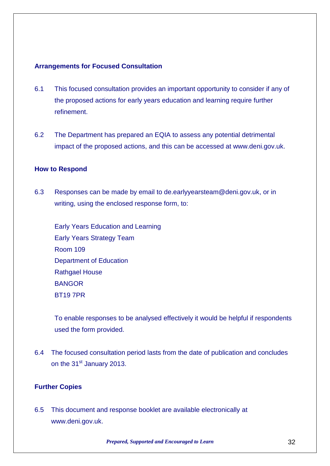#### **Arrangements for Focused Consultation**

- 6.1 This focused consultation provides an important opportunity to consider if any of the proposed actions for early years education and learning require further refinement.
- 6.2 The Department has prepared an EQIA to assess any potential detrimental impact of the proposed actions, and this can be accessed at www.deni.gov.uk.

#### **How to Respond**

6.3 Responses can be made by email to de.earlyyearsteam@deni.gov.uk, or in writing, using the enclosed response form, to:

Early Years Education and Learning Early Years Strategy Team Room 109 Department of Education Rathgael House **BANGOR** BT19 7PR

To enable responses to be analysed effectively it would be helpful if respondents used the form provided.

6.4 The focused consultation period lasts from the date of publication and concludes on the 31<sup>st</sup> January 2013.

#### **Further Copies**

6.5 This document and response booklet are available electronically at www.deni.gov.uk.

*Prepared, Supported and Encouraged to Learn* 32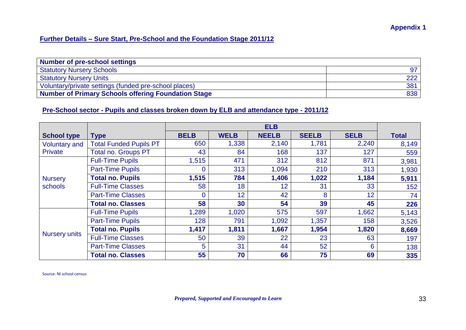#### **Further Details – Sure Start, Pre-School and the Foundation Stage 2011/12**

| <b>Number of pre-school settings</b>                  |     |
|-------------------------------------------------------|-----|
| <b>Statutory Nursery Schools</b>                      |     |
| <b>Statutory Nursery Units</b>                        | 222 |
| Voluntary/private settings (funded pre-school places) | 381 |
| Number of Primary Schools offering Foundation Stage   | 838 |

#### **Pre-School sector - Pupils and classes broken down by ELB and attendance type - 2011/12**

|                           |                               |              |                 | <b>ELB</b>   |              |             |              |
|---------------------------|-------------------------------|--------------|-----------------|--------------|--------------|-------------|--------------|
| <b>School type</b>        | <b>Type</b>                   | <b>BELB</b>  | <b>WELB</b>     | <b>NEELB</b> | <b>SEELB</b> | <b>SELB</b> | <b>Total</b> |
| <b>Voluntary and</b>      | <b>Total Funded Pupils PT</b> | 650          | 1,338           | 2,140        | 1,781        | 2,240       | 8,149        |
| <b>Private</b>            | <b>Total no. Groups PT</b>    | 43           | 84              | 168          | 137          | 127         | 559          |
|                           | <b>Full-Time Pupils</b>       | 1,515        | 471             | 312          | 812          | 871         | 3,981        |
|                           | <b>Part-Time Pupils</b>       | 0            | 313             | 1,094        | 210          | 313         | 1,930        |
| <b>Nursery</b><br>schools | <b>Total no. Pupils</b>       | 1,515        | 784             | 1,406        | 1,022        | 1,184       | 5,911        |
|                           | <b>Full-Time Classes</b>      | 58           | 18              | 12           | 31           | 33          | 152          |
|                           | <b>Part-Time Classes</b>      | $\mathbf{0}$ | 12 <sup>°</sup> | 42           | 8            | 12          | 74           |
|                           | <b>Total no. Classes</b>      | 58           | 30              | 54           | 39           | 45          | 226          |
|                           | <b>Full-Time Pupils</b>       | 1,289        | 1,020           | 575          | 597          | 1,662       | 5,143        |
| <b>Nursery units</b>      | <b>Part-Time Pupils</b>       | 128          | 791             | 1,092        | 1,357        | 158         | 3,526        |
|                           | <b>Total no. Pupils</b>       | 1,417        | 1,811           | 1,667        | 1,954        | 1,820       | 8,669        |
|                           | <b>Full-Time Classes</b>      | 50           | 39              | 22           | 23           | 63          | 197          |
|                           | <b>Part-Time Classes</b>      | 5            | 31              | 44           | 52           | 6           | 138          |
|                           | <b>Total no. Classes</b>      | 55           | 70              | 66           | 75           | 69          | 335          |

Source: NI school census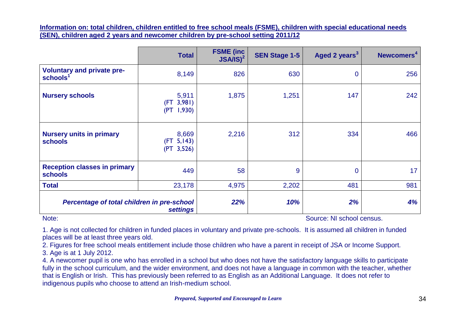**Information on: total children, children entitled to free school meals (FSME), children with special educational needs (SEN), children aged 2 years and newcomer children by pre-school setting 2011/12**

|                                                           | <b>Total</b>                          | <b>FSME</b> (inc.<br>$JSA/IS)^2$ | <b>SEN Stage 1-5</b> | Aged 2 years <sup>3</sup> | Newcomers <sup>4</sup> |
|-----------------------------------------------------------|---------------------------------------|----------------------------------|----------------------|---------------------------|------------------------|
| <b>Voluntary and private pre-</b><br>schools <sup>1</sup> | 8,149                                 | 826                              | 630                  | $\mathbf 0$               | 256                    |
| <b>Nursery schools</b>                                    | 5,911<br>(FT 3,981)<br>1,930<br>(PT)  | 1,875                            | 1,251                | 147                       | 242                    |
| <b>Nursery units in primary</b><br><b>schools</b>         | 8,669<br>5,143)<br>(FT)<br>(PT 3,526) | 2,216                            | 312                  | 334                       | 466                    |
| <b>Reception classes in primary</b><br><b>schools</b>     | 449                                   | 58                               | 9                    | $\mathbf 0$               | 17 <sub>2</sub>        |
| <b>Total</b>                                              | 23,178                                | 4,975                            | 2,202                | 481                       | 981                    |
| Percentage of total children in pre-school                | <b>settings</b>                       | 22%                              | 10%                  | 2%                        | 4%                     |

Note: Source: NI school census.

1. Age is not collected for children in funded places in voluntary and private pre-schools. It is assumed all children in funded places will be at least three years old.

2. Figures for free school meals entitlement include those children who have a parent in receipt of JSA or Income Support. 3. Age is at 1 July 2012.

4. A newcomer pupil is one who has enrolled in a school but who does not have the satisfactory language skills to participate fully in the school curriculum, and the wider environment, and does not have a language in common with the teacher, whether that is English or Irish. This has previously been referred to as English as an Additional Language. It does not refer to indigenous pupils who choose to attend an Irish-medium school.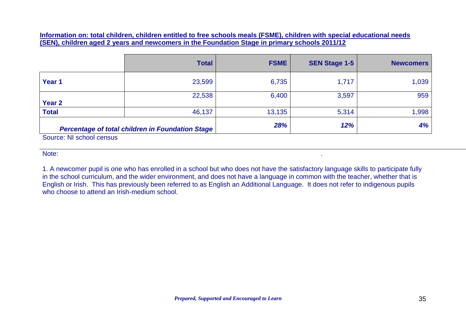**Information on: total children, children entitled to free schools meals (FSME), children with special educational needs (SEN), children aged 2 years and newcomers in the Foundation Stage in primary schools 2011/12**

|                          | <b>Total</b>                                     | <b>FSME</b> | <b>SEN Stage 1-5</b> | <b>Newcomers</b> |
|--------------------------|--------------------------------------------------|-------------|----------------------|------------------|
| Year 1                   | 23,599                                           | 6,735       | 1,717                | 1,039            |
| Year <sub>2</sub>        | 22,538                                           | 6,400       | 3,597                | 959              |
| <b>Total</b>             | 46,137                                           | 13,135      | 5,314                | 1,998            |
| Source: NI school census | Percentage of total children in Foundation Stage | 28%         | 12%                  | 4%               |

Note: .

1. A newcomer pupil is one who has enrolled in a school but who does not have the satisfactory language skills to participate fully in the school curriculum, and the wider environment, and does not have a language in common with the teacher, whether that is English or Irish. This has previously been referred to as English an Additional Language. It does not refer to indigenous pupils who choose to attend an Irish-medium school.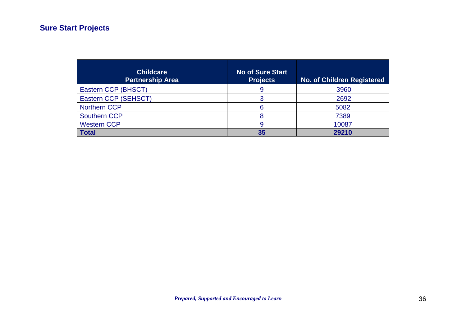## **Sure Start Projects**

| <b>Childcare</b><br><b>Partnership Area</b> | <b>No of Sure Start</b><br><b>Projects</b> | <b>No. of Children Registered</b> |
|---------------------------------------------|--------------------------------------------|-----------------------------------|
| Eastern CCP (BHSCT)                         | 9                                          | 3960                              |
| Eastern CCP (SEHSCT)                        |                                            | 2692                              |
| <b>Northern CCP</b>                         | ิค                                         | 5082                              |
| <b>Southern CCP</b>                         |                                            | 7389                              |
| <b>Western CCP</b>                          | 9                                          | 10087                             |
| <b>Total</b>                                | 35                                         | 29210                             |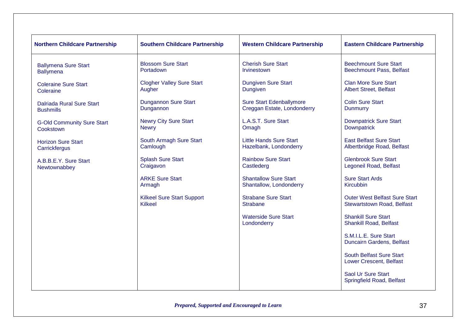| <b>Northern Childcare Partnership</b> | <b>Southern Childcare Partnership</b> | <b>Western Childcare Partnership</b>       | <b>Eastern Childcare Partnership</b>                        |
|---------------------------------------|---------------------------------------|--------------------------------------------|-------------------------------------------------------------|
| <b>Ballymena Sure Start</b>           | <b>Blossom Sure Start</b>             | <b>Cherish Sure Start</b>                  | <b>Beechmount Sure Start</b>                                |
| <b>Ballymena</b>                      | Portadown                             | Irvinestown                                | <b>Beechmount Pass, Belfast</b>                             |
| <b>Coleraine Sure Start</b>           | <b>Clogher Valley Sure Start</b>      | <b>Dungiven Sure Start</b>                 | <b>Clan More Sure Start</b>                                 |
| Coleraine                             | Augher                                | <b>Dungiven</b>                            | <b>Albert Street, Belfast</b>                               |
| Dalriada Rural Sure Start             | <b>Dungannon Sure Start</b>           | <b>Sure Start Edenballymore</b>            | <b>Colin Sure Start</b>                                     |
| <b>Bushmills</b>                      | Dungannon                             | Creggan Estate, Londonderry                | <b>Dunmurry</b>                                             |
| <b>G-Old Community Sure Start</b>     | <b>Newry City Sure Start</b>          | L.A.S.T. Sure Start                        | <b>Downpatrick Sure Start</b>                               |
| Cookstown                             | <b>Newry</b>                          | Omagh                                      | <b>Downpatrick</b>                                          |
| <b>Horizon Sure Start</b>             | South Armagh Sure Start               | <b>Little Hands Sure Start</b>             | <b>East Belfast Sure Start</b>                              |
| Carrickfergus                         | Camlough                              | Hazelbank, Londonderry                     | Albertbridge Road, Belfast                                  |
| A.B.B.E.Y. Sure Start                 | <b>Splash Sure Start</b>              | <b>Rainbow Sure Start</b>                  | <b>Glenbrook Sure Start</b>                                 |
| Newtownabbey                          | Craigavon                             | Castlederg                                 | Legoneil Road, Belfast                                      |
|                                       | <b>ARKE Sure Start</b>                | <b>Shantallow Sure Start</b>               | <b>Sure Start Ards</b>                                      |
|                                       | Armagh                                | Shantallow, Londonderry                    | Kircubbin                                                   |
|                                       | <b>Kilkeel Sure Start Support</b>     | <b>Strabane Sure Start</b>                 | <b>Outer West Belfast Sure Start</b>                        |
|                                       | <b>Kilkeel</b>                        | <b>Strabane</b>                            | <b>Stewartstown Road, Belfast</b>                           |
|                                       |                                       | <b>Waterside Sure Start</b><br>Londonderry | <b>Shankill Sure Start</b><br><b>Shankill Road, Belfast</b> |
|                                       |                                       |                                            | S.M.I.L.E. Sure Start<br>Duncairn Gardens, Belfast          |
|                                       |                                       |                                            | <b>South Belfast Sure Start</b><br>Lower Crescent, Belfast  |
|                                       |                                       |                                            | Saol Ur Sure Start<br>Springfield Road, Belfast             |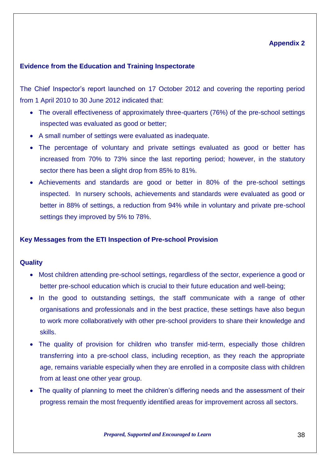#### **Appendix 2**

#### **Evidence from the Education and Training Inspectorate**

The Chief Inspector's report launched on 17 October 2012 and covering the reporting period from 1 April 2010 to 30 June 2012 indicated that:

- The overall effectiveness of approximately three-quarters (76%) of the pre-school settings inspected was evaluated as good or better;
- A small number of settings were evaluated as inadequate.
- The percentage of voluntary and private settings evaluated as good or better has increased from 70% to 73% since the last reporting period; however, in the statutory sector there has been a slight drop from 85% to 81%.
- Achievements and standards are good or better in 80% of the pre-school settings inspected. In nursery schools, achievements and standards were evaluated as good or better in 88% of settings, a reduction from 94% while in voluntary and private pre-school settings they improved by 5% to 78%.

#### **Key Messages from the ETI Inspection of Pre-school Provision**

#### **Quality**

- Most children attending pre-school settings, regardless of the sector, experience a good or better pre-school education which is crucial to their future education and well-being;
- In the good to outstanding settings, the staff communicate with a range of other organisations and professionals and in the best practice, these settings have also begun to work more collaboratively with other pre-school providers to share their knowledge and skills.
- The quality of provision for children who transfer mid-term, especially those children transferring into a pre-school class, including reception, as they reach the appropriate age, remains variable especially when they are enrolled in a composite class with children from at least one other year group.
- The quality of planning to meet the children's differing needs and the assessment of their progress remain the most frequently identified areas for improvement across all sectors.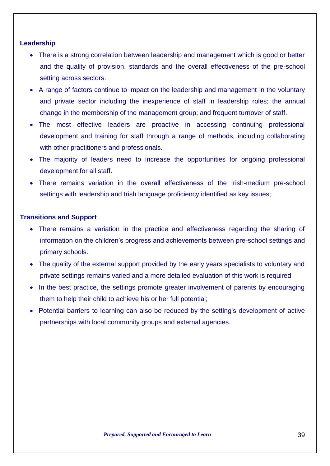#### **Leadership**

- There is a strong correlation between leadership and management which is good or better and the quality of provision, standards and the overall effectiveness of the pre-school setting across sectors.
- A range of factors continue to impact on the leadership and management in the voluntary and private sector including the inexperience of staff in leadership roles; the annual change in the membership of the management group; and frequent turnover of staff.
- The most effective leaders are proactive in accessing continuing professional development and training for staff through a range of methods, including collaborating with other practitioners and professionals.
- The majority of leaders need to increase the opportunities for ongoing professional development for all staff.
- There remains variation in the overall effectiveness of the Irish-medium pre-school settings with leadership and Irish language proficiency identified as key issues;

#### **Transitions and Support**

- There remains a variation in the practice and effectiveness regarding the sharing of information on the children's progress and achievements between pre-school settings and primary schools.
- The quality of the external support provided by the early years specialists to voluntary and private settings remains varied and a more detailed evaluation of this work is required
- In the best practice, the settings promote greater involvement of parents by encouraging them to help their child to achieve his or her full potential;
- Potential barriers to learning can also be reduced by the setting's development of active partnerships with local community groups and external agencies.